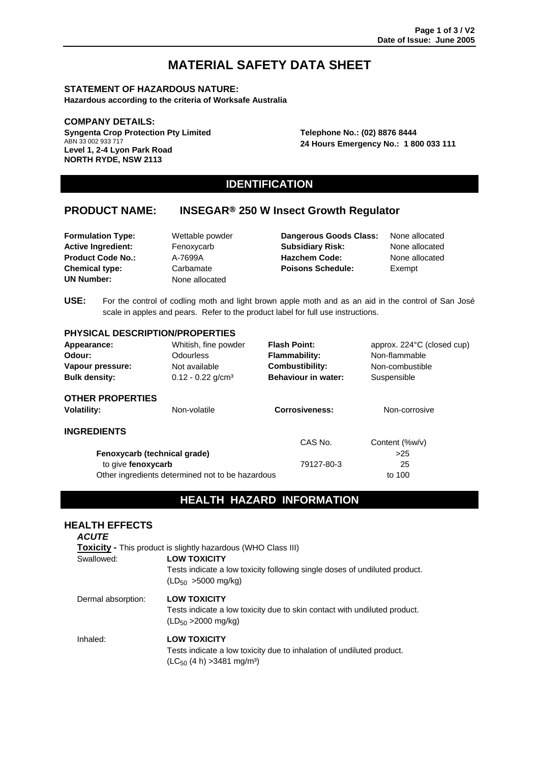# **MATERIAL SAFETY DATA SHEET**

### **STATEMENT OF HAZARDOUS NATURE:**

**Hazardous according to the criteria of Worksafe Australia** 

### **COMPANY DETAILS:**

**Syngenta Crop Protection Pty Limited** ABN 33 002 933 717 **Level 1, 2-4 Lyon Park Road NORTH RYDE, NSW 2113** 

**Telephone No.: (02) 8876 8444 24 Hours Emergency No.: 1 800 033 111** 

# **IDENTIFICATION**

# **PRODUCT NAME: INSEGAR**® **250 W Insect Growth Regulator**

**UN Number:** None allocated

**Formulation Type:** Wettable powder **Dangerous Goods Class:** None allocated **Active Ingredient:** Fenoxycarb **Subsidiary Risk:** None allocated **Product Code No.:** A-7699A **Hazchem Code:** None allocated **Chemical type:** Carbamate **Poisons Schedule:** Exempt

**USE:** For the control of codling moth and light brown apple moth and as an aid in the control of San José scale in apples and pears. Refer to the product label for full use instructions.

# **PHYSICAL DESCRIPTION/PROPERTIES**

| Appearance:                  | Whitish, fine powder<br><b>Flash Point:</b>      |                                           | approx. 224°C (closed cup) |  |
|------------------------------|--------------------------------------------------|-------------------------------------------|----------------------------|--|
| Odour:                       | <b>Odourless</b>                                 | <b>Flammability:</b>                      | Non-flammable              |  |
| Vapour pressure:             | Not available                                    | <b>Combustibility:</b>                    | Non-combustible            |  |
| <b>Bulk density:</b>         | $0.12 - 0.22$ g/cm <sup>3</sup>                  | <b>Behaviour in water:</b><br>Suspensible |                            |  |
| <b>OTHER PROPERTIES</b>      |                                                  |                                           |                            |  |
| <b>Volatility:</b>           | Non-volatile                                     | <b>Corrosiveness:</b><br>Non-corrosive    |                            |  |
| <b>INGREDIENTS</b>           |                                                  |                                           |                            |  |
|                              |                                                  | CAS No.                                   | Content (%w/v)             |  |
| Fenoxycarb (technical grade) |                                                  |                                           | >25                        |  |
| to give fenoxycarb           |                                                  | 79127-80-3                                | 25                         |  |
|                              | Other ingredients determined not to be hazardous |                                           | to 100                     |  |

# **HEALTH HAZARD INFORMATION**

# **HEALTH EFFECTS**

| <b>ACUTE</b>                                                         |                                                                                                                                             |  |  |  |  |  |
|----------------------------------------------------------------------|---------------------------------------------------------------------------------------------------------------------------------------------|--|--|--|--|--|
| <b>Toxicity - This product is slightly hazardous (WHO Class III)</b> |                                                                                                                                             |  |  |  |  |  |
| Swallowed:                                                           | <b>LOW TOXICITY</b><br>Tests indicate a low toxicity following single doses of undiluted product.<br>$(LD_{50} > 5000$ mg/kg)               |  |  |  |  |  |
| Dermal absorption:                                                   | <b>LOW TOXICITY</b><br>Tests indicate a low toxicity due to skin contact with undiluted product.<br>$(LD_{50} > 2000$ mg/kg)                |  |  |  |  |  |
| Inhaled:                                                             | <b>LOW TOXICITY</b><br>Tests indicate a low toxicity due to inhalation of undiluted product.<br>$(LC_{50}$ (4 h) > 3481 mg/m <sup>3</sup> ) |  |  |  |  |  |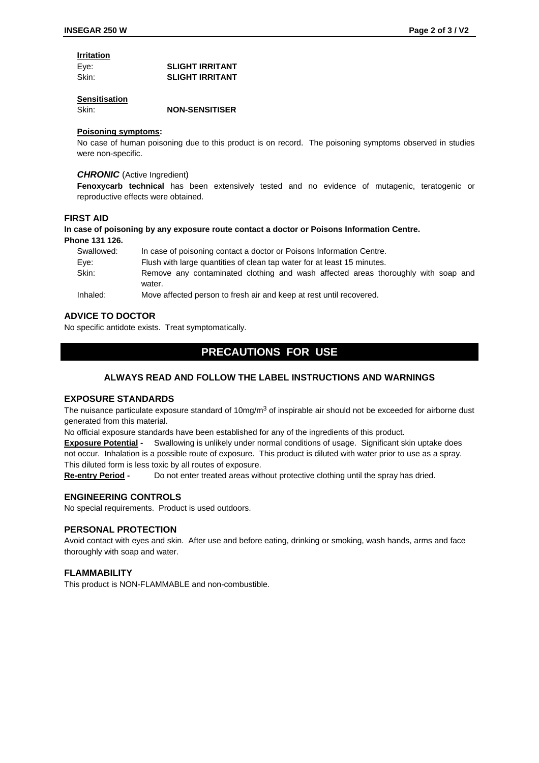# **Irritation**

| Eye:  | <b>SLIGHT IRRITANT</b> |
|-------|------------------------|
| Skin: | <b>SLIGHT IRRITANT</b> |

### **Sensitisation**

Skin: **NON-SENSITISER**

### **Poisoning symptoms:**

No case of human poisoning due to this product is on record. The poisoning symptoms observed in studies were non-specific.

### *CHRONIC* (Active Ingredient)

**Fenoxycarb technical** has been extensively tested and no evidence of mutagenic, teratogenic or reproductive effects were obtained.

# **FIRST AID**

### **In case of poisoning by any exposure route contact a doctor or Poisons Information Centre. Phone 131 126.**

| Swallowed:         | In case of poisoning contact a doctor or Poisons Information Centre.              |  |  |  |  |  |  |
|--------------------|-----------------------------------------------------------------------------------|--|--|--|--|--|--|
| Eve:               | Flush with large quantities of clean tap water for at least 15 minutes.           |  |  |  |  |  |  |
| Skin:              | Remove any contaminated clothing and wash affected areas thoroughly with soap and |  |  |  |  |  |  |
|                    | water.                                                                            |  |  |  |  |  |  |
| والمستواري والمرار | Maria affasta da susso ta foschi alcan di casa at oscitiva concenta di c          |  |  |  |  |  |  |

Inhaled: Move affected person to fresh air and keep at rest until recovered.

# **ADVICE TO DOCTOR**

No specific antidote exists. Treat symptomatically.

# **PRECAUTIONS FOR USE**

# **ALWAYS READ AND FOLLOW THE LABEL INSTRUCTIONS AND WARNINGS**

### **EXPOSURE STANDARDS**

The nuisance particulate exposure standard of 10mg/m<sup>3</sup> of inspirable air should not be exceeded for airborne dust generated from this material.

No official exposure standards have been established for any of the ingredients of this product.

**Exposure Potential -** Swallowing is unlikely under normal conditions of usage. Significant skin uptake does not occur. Inhalation is a possible route of exposure. This product is diluted with water prior to use as a spray. This diluted form is less toxic by all routes of exposure.

**Re-entry Period -** Do not enter treated areas without protective clothing until the spray has dried.

# **ENGINEERING CONTROLS**

No special requirements. Product is used outdoors.

### **PERSONAL PROTECTION**

Avoid contact with eyes and skin. After use and before eating, drinking or smoking, wash hands, arms and face thoroughly with soap and water.

# **FLAMMABILITY**

This product is NON-FLAMMABLE and non-combustible.